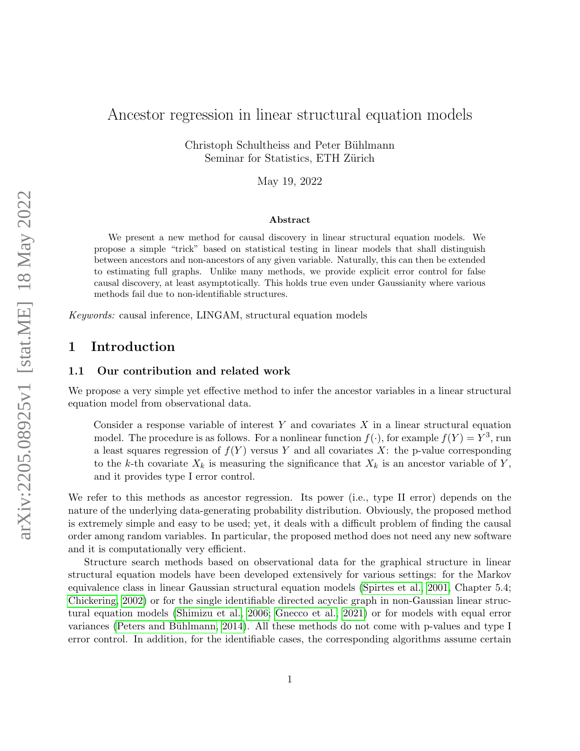# Ancestor regression in linear structural equation models

Christoph Schultheiss and Peter Bühlmann Seminar for Statistics, ETH Zürich

May 19, 2022

#### Abstract

We present a new method for causal discovery in linear structural equation models. We propose a simple "trick" based on statistical testing in linear models that shall distinguish between ancestors and non-ancestors of any given variable. Naturally, this can then be extended to estimating full graphs. Unlike many methods, we provide explicit error control for false causal discovery, at least asymptotically. This holds true even under Gaussianity where various methods fail due to non-identifiable structures.

Keywords: causal inference, LINGAM, structural equation models

## <span id="page-0-0"></span>1 Introduction

### 1.1 Our contribution and related work

We propose a very simple yet effective method to infer the ancestor variables in a linear structural equation model from observational data.

Consider a response variable of interest  $Y$  and covariates  $X$  in a linear structural equation model. The procedure is as follows. For a nonlinear function  $f(\cdot)$ , for example  $f(Y) = Y^3$ , run a least squares regression of  $f(Y)$  versus Y and all covariates X: the p-value corresponding to the k-th covariate  $X_k$  is measuring the significance that  $X_k$  is an ancestor variable of Y, and it provides type I error control.

We refer to this methods as ancestor regression. Its power (i.e., type II error) depends on the nature of the underlying data-generating probability distribution. Obviously, the proposed method is extremely simple and easy to be used; yet, it deals with a difficult problem of finding the causal order among random variables. In particular, the proposed method does not need any new software and it is computationally very efficient.

Structure search methods based on observational data for the graphical structure in linear structural equation models have been developed extensively for various settings: for the Markov equivalence class in linear Gaussian structural equation models [\(Spirtes et al., 2001,](#page-8-0) Chapter 5.4; [Chickering, 2002\)](#page-8-1) or for the single identifiable directed acyclic graph in non-Gaussian linear structural equation models [\(Shimizu et al., 2006;](#page-8-2) [Gnecco et al., 2021\)](#page-8-3) or for models with equal error variances (Peters and Bühlmann, 2014). All these methods do not come with p-values and type I error control. In addition, for the identifiable cases, the corresponding algorithms assume certain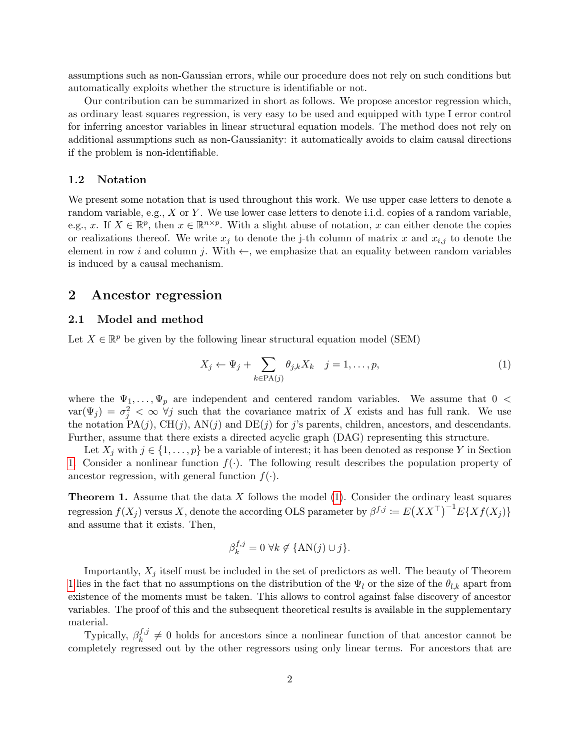assumptions such as non-Gaussian errors, while our procedure does not rely on such conditions but automatically exploits whether the structure is identifiable or not.

Our contribution can be summarized in short as follows. We propose ancestor regression which, as ordinary least squares regression, is very easy to be used and equipped with type I error control for inferring ancestor variables in linear structural equation models. The method does not rely on additional assumptions such as non-Gaussianity: it automatically avoids to claim causal directions if the problem is non-identifiable.

#### 1.2 Notation

We present some notation that is used throughout this work. We use upper case letters to denote a random variable, e.g.,  $X$  or  $Y$ . We use lower case letters to denote i.i.d. copies of a random variable, e.g., x. If  $X \in \mathbb{R}^p$ , then  $x \in \mathbb{R}^{n \times p}$ . With a slight abuse of notation, x can either denote the copies or realizations thereof. We write  $x_j$  to denote the j-th column of matrix x and  $x_{i,j}$  to denote the element in row i and column j. With  $\leftarrow$ , we emphasize that an equality between random variables is induced by a causal mechanism.

### 2 Ancestor regression

### 2.1 Model and method

Let  $X \in \mathbb{R}^p$  be given by the following linear structural equation model (SEM)

<span id="page-1-0"></span>
$$
X_j \leftarrow \Psi_j + \sum_{k \in \text{PA}(j)} \theta_{j,k} X_k \quad j = 1, \dots, p,\tag{1}
$$

where the  $\Psi_1, \ldots, \Psi_p$  are independent and centered random variables. We assume that  $0 \leq$  $var(\Psi_j) = \sigma_j^2 < \infty$   $\forall j$  such that the covariance matrix of X exists and has full rank. We use the notation  $PA(j)$ ,  $CH(j)$ ,  $AN(j)$  and  $DE(j)$  for j's parents, children, ancestors, and descendants. Further, assume that there exists a directed acyclic graph (DAG) representing this structure.

Let  $X_i$  with  $j \in \{1, \ldots, p\}$  be a variable of interest; it has been denoted as response Y in Section [1.](#page-0-0) Consider a nonlinear function  $f(\cdot)$ . The following result describes the population property of ancestor regression, with general function  $f(\cdot)$ .

<span id="page-1-1"></span>**Theorem 1.** Assume that the data  $X$  follows the model  $(1)$ . Consider the ordinary least squares regression  $f(X_j)$  versus X, denote the according OLS parameter by  $\beta^{f,j} := E(XX^{\top})^{-1}E\{Xf(X_j)\}$ and assume that it exists. Then,

$$
\beta_k^{f,j} = 0 \,\,\forall k \notin \{\text{AN}(j) \cup j\}.
$$

Importantly,  $X_j$  itself must be included in the set of predictors as well. The beauty of Theorem [1](#page-1-1) lies in the fact that no assumptions on the distribution of the  $\Psi_l$  or the size of the  $\theta_{l,k}$  apart from existence of the moments must be taken. This allows to control against false discovery of ancestor variables. The proof of this and the subsequent theoretical results is available in the supplementary material.

Typically,  $\beta_k^{f,j}$  $k^{J,j} \neq 0$  holds for ancestors since a nonlinear function of that ancestor cannot be completely regressed out by the other regressors using only linear terms. For ancestors that are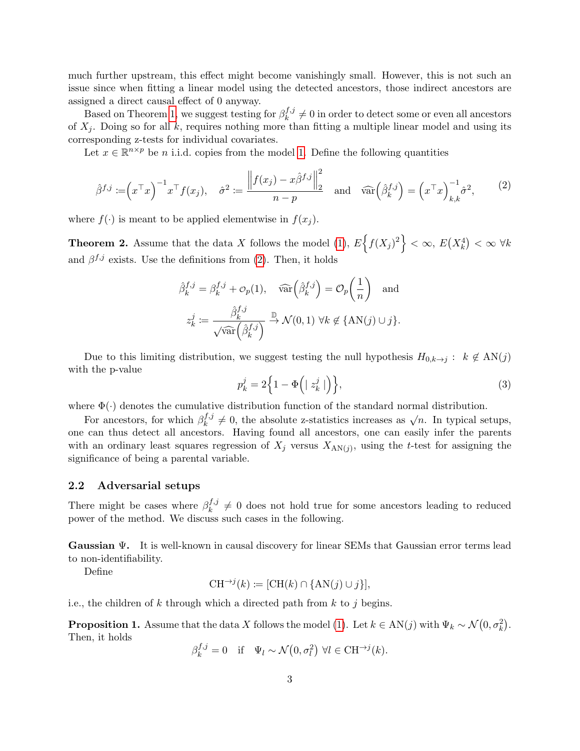much further upstream, this effect might become vanishingly small. However, this is not such an issue since when fitting a linear model using the detected ancestors, those indirect ancestors are assigned a direct causal effect of 0 anyway.

Based on Theorem [1,](#page-1-1) we suggest testing for  $\beta_k^{f,j}$  $\frac{d^{J,j}}{k} \neq 0$  in order to detect some or even all ancestors of  $X_i$ . Doing so for all k, requires nothing more than fitting a multiple linear model and using its corresponding z-tests for individual covariates.

Let  $x \in \mathbb{R}^{n \times p}$  be *n* i.i.d. copies from the model [1.](#page-1-0) Define the following quantities

<span id="page-2-0"></span>
$$
\hat{\beta}^{f,j} := \left(x^\top x\right)^{-1} x^\top f(x_j), \quad \hat{\sigma}^2 := \frac{\left\|f(x_j) - x\hat{\beta}^{f,j}\right\|_2^2}{n-p} \quad \text{and} \quad \widehat{\text{var}}\left(\hat{\beta}_k^{f,j}\right) = \left(x^\top x\right)_{k,k}^{-1} \hat{\sigma}^2,\tag{2}
$$

where  $f(\cdot)$  is meant to be applied elementwise in  $f(x_i)$ .

<span id="page-2-1"></span>**Theorem 2.** Assume that the data X follows the model [\(1\)](#page-1-0),  $E\left\{f(X_j)^2\right\} < \infty$ ,  $E(X_k^4) < \infty$   $\forall k$ and  $\beta^{f,j}$  exists. Use the definitions from [\(2\)](#page-2-0). Then, it holds

$$
\hat{\beta}_k^{f,j} = \beta_k^{f,j} + \mathcal{O}_p(1), \quad \widehat{\text{var}}\left(\hat{\beta}_k^{f,j}\right) = \mathcal{O}_p\left(\frac{1}{n}\right) \quad \text{and}
$$

$$
z_k^j := \frac{\hat{\beta}_k^{f,j}}{\sqrt{\widehat{\text{var}}\left(\hat{\beta}_k^{f,j}\right)}} \xrightarrow{\mathbb{D}} \mathcal{N}(0,1) \,\forall k \notin \{\text{AN}(j) \cup j\}.
$$

Due to this limiting distribution, we suggest testing the null hypothesis  $H_{0,k\to j}$ :  $k \notin AN(j)$ with the p-value

<span id="page-2-2"></span>
$$
p_k^j = 2\Big\{1 - \Phi\Big(|z_k^j|\Big)\Big\},\tag{3}
$$

where  $\Phi(\cdot)$  denotes the cumulative distribution function of the standard normal distribution.

For ancestors, for which  $\beta_k^{f,j}$  $\chi_k^{f,j} \neq 0$ , the absolute z-statistics increases as  $\sqrt{n}$ . In typical setups, one can thus detect all ancestors. Having found all ancestors, one can easily infer the parents with an ordinary least squares regression of  $X_j$  versus  $X_{\text{AN}(j)}$ , using the t-test for assigning the significance of being a parental variable.

#### 2.2 Adversarial setups

There might be cases where  $\beta_k^{f,j}$  $\frac{d^{J,j}}{k} \neq 0$  does not hold true for some ancestors leading to reduced power of the method. We discuss such cases in the following.

Gaussian Ψ. It is well-known in causal discovery for linear SEMs that Gaussian error terms lead to non-identifiability.

Define

$$
CH^{\rightarrow j}(k) := [CH(k) \cap \{AN(j) \cup j\}],
$$

i.e., the children of k through which a directed path from  $k$  to j begins.

<span id="page-2-3"></span>**Proposition 1.** Assume that the data X follows the model [\(1\)](#page-1-0). Let  $k \in AN(j)$  with  $\Psi_k \sim N(0, \sigma_k^2)$ . Then, it holds

$$
\beta_k^{f,j} = 0 \quad \text{if} \quad \Psi_l \sim \mathcal{N}\big(0, \sigma_l^2\big) \ \forall l \in \text{CH}^{\to j}(k).
$$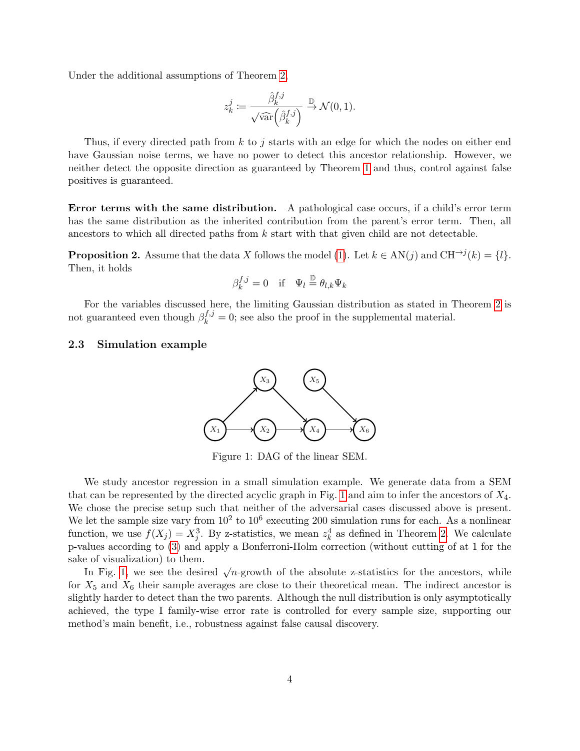Under the additional assumptions of Theorem [2,](#page-2-1)

$$
z_k^j \coloneqq \frac{\hat{\beta}_k^{f,j}}{\sqrt{\widehat{\text{var}}\left(\hat{\beta}_k^{f,j}\right)}} \stackrel{\mathbb{D}}{\to} \mathcal{N}(0,1).
$$

Thus, if every directed path from k to j starts with an edge for which the nodes on either end have Gaussian noise terms, we have no power to detect this ancestor relationship. However, we neither detect the opposite direction as guaranteed by Theorem [1](#page-1-1) and thus, control against false positives is guaranteed.

Error terms with the same distribution. A pathological case occurs, if a child's error term has the same distribution as the inherited contribution from the parent's error term. Then, all ancestors to which all directed paths from k start with that given child are not detectable.

<span id="page-3-2"></span>**Proposition 2.** Assume that the data X follows the model [\(1\)](#page-1-0). Let  $k \in AN(j)$  and  $CH^{\rightarrow j}(k) = \{l\}$ . Then, it holds

$$
\beta_k^{f,j} = 0 \quad \text{if} \quad \Psi_l \stackrel{\mathbb{D}}{=} \theta_{l,k} \Psi_k
$$

For the variables discussed here, the limiting Gaussian distribution as stated in Theorem [2](#page-2-1) is not guaranteed even though  $\beta_k^{f,j} = 0$ ; see also the proof in the supplemental material.

### <span id="page-3-1"></span><span id="page-3-0"></span>2.3 Simulation example



Figure 1: DAG of the linear SEM.

We study ancestor regression in a small simulation example. We generate data from a SEM that can be represented by the directed acyclic graph in Fig. [1](#page-3-0) and aim to infer the ancestors of  $X_4$ . We chose the precise setup such that neither of the adversarial cases discussed above is present. We let the sample size vary from  $10^2$  to  $10^6$  executing 200 simulation runs for each. As a nonlinear function, we use  $f(X_j) = X_j^3$ . By z-statistics, we mean  $z_k^4$  as defined in Theorem [2.](#page-2-1) We calculate p-values according to [\(3\)](#page-2-2) and apply a Bonferroni-Holm correction (without cutting of at 1 for the sake of visualization) to them.

In Fig. [1,](#page-3-0) we see the desired  $\sqrt{n}$ -growth of the absolute z-statistics for the ancestors, while for  $X_5$  and  $X_6$  their sample averages are close to their theoretical mean. The indirect ancestor is slightly harder to detect than the two parents. Although the null distribution is only asymptotically achieved, the type I family-wise error rate is controlled for every sample size, supporting our method's main benefit, i.e., robustness against false causal discovery.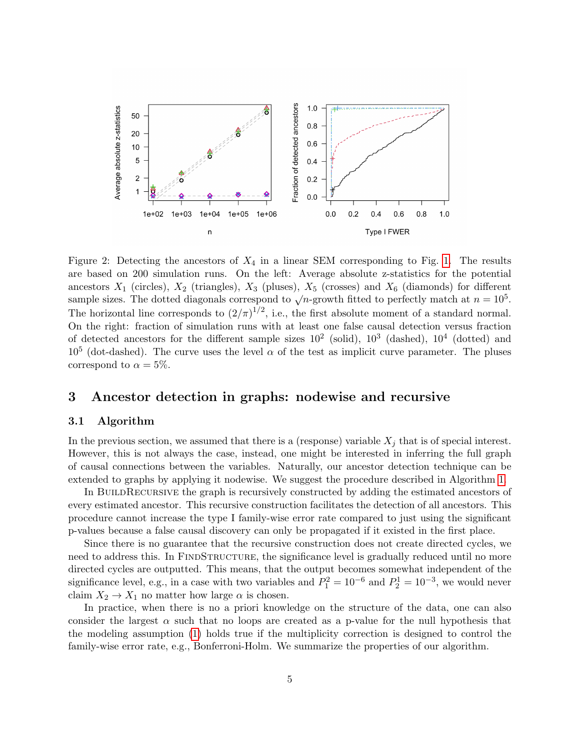

Figure 2: Detecting the ancestors of  $X_4$  in a linear SEM corresponding to Fig. [1.](#page-3-0) The results are based on 200 simulation runs. On the left: Average absolute z-statistics for the potential ancestors  $X_1$  (circles),  $X_2$  (triangles),  $X_3$  (pluses),  $X_5$  (crosses) and  $X_6$  (diamonds) for different sample sizes. The dotted diagonals correspond to  $\sqrt{n}$ -growth fitted to perfectly match at  $n = 10^5$ . The horizontal line corresponds to  $(2/\pi)^{1/2}$ , i.e., the first absolute moment of a standard normal. On the right: fraction of simulation runs with at least one false causal detection versus fraction of detected ancestors for the different sample sizes  $10^2$  (solid),  $10^3$  (dashed),  $10^4$  (dotted) and  $10^5$  (dot-dashed). The curve uses the level  $\alpha$  of the test as implicit curve parameter. The pluses correspond to  $\alpha = 5\%$ .

## 3 Ancestor detection in graphs: nodewise and recursive

### <span id="page-4-0"></span>3.1 Algorithm

In the previous section, we assumed that there is a (response) variable  $X_j$  that is of special interest. However, this is not always the case, instead, one might be interested in inferring the full graph of causal connections between the variables. Naturally, our ancestor detection technique can be extended to graphs by applying it nodewise. We suggest the procedure described in Algorithm [1.](#page-5-0)

In BUILDRECURSIVE the graph is recursively constructed by adding the estimated ancestors of every estimated ancestor. This recursive construction facilitates the detection of all ancestors. This procedure cannot increase the type I family-wise error rate compared to just using the significant p-values because a false causal discovery can only be propagated if it existed in the first place.

Since there is no guarantee that the recursive construction does not create directed cycles, we need to address this. In FINDSTRUCTURE, the significance level is gradually reduced until no more directed cycles are outputted. This means, that the output becomes somewhat independent of the significance level, e.g., in a case with two variables and  $P_1^2 = 10^{-6}$  and  $P_2^1 = 10^{-3}$ , we would never claim  $X_2 \to X_1$  no matter how large  $\alpha$  is chosen.

In practice, when there is no a priori knowledge on the structure of the data, one can also consider the largest  $\alpha$  such that no loops are created as a p-value for the null hypothesis that the modeling assumption [\(1\)](#page-1-0) holds true if the multiplicity correction is designed to control the family-wise error rate, e.g., Bonferroni-Holm. We summarize the properties of our algorithm.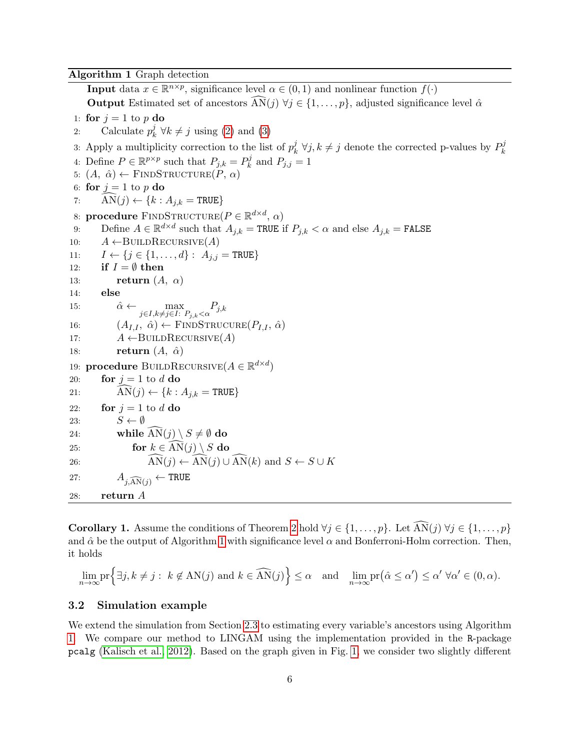<span id="page-5-0"></span>Algorithm 1 Graph detection

**Input** data  $x \in \mathbb{R}^{n \times p}$ , significance level  $\alpha \in (0, 1)$  and nonlinear function  $f(\cdot)$ Output Estimated set of ancestors  $AN(j) \forall j \in \{1, ..., p\}$ , adjusted significance level  $\hat{\alpha}$ 1: for  $j = 1$  to p do 2: Calculate  $p_k^j$  $\chi_k^j \,\forall k \neq j$  using [\(2\)](#page-2-0) and [\(3\)](#page-2-2) 3: Apply a multiplicity correction to the list of  $p_k^j$  $\psi_k^j$  ∀j,  $k \neq j$  denote the corrected p-values by  $P_k^j$ 4: Define  $P \in \mathbb{R}^{p \times p}$  such that  $P_{j,k} = P_k^j$  $P_k^j$  and  $P_{j,j} = 1$ 5:  $(A, \hat{\alpha}) \leftarrow$  FINDSTRUCTURE $(P, \alpha)$ 6: for  $j = 1$  to p do 7:  $AN(j) \leftarrow \{k : A_{j,k} = \text{TRUE}\}\$ 8: procedure FINDSTRUCTURE( $P \in \mathbb{R}^{d \times d}$ ,  $\alpha$ ) 9: Define  $A \in \mathbb{R}^{d \times d}$  such that  $A_{j,k} = \text{TRUE}$  if  $P_{j,k} < \alpha$  and else  $A_{j,k} = \text{FALSE}$ 10:  $A \leftarrow \text{BULDRECURSIVE}(A)$ 11:  $I \leftarrow \{j \in \{1, ..., d\} : A_{j,j} = \text{TRUE}\}$ 12: if  $I = \emptyset$  then 13: return  $(A, \alpha)$ 14: else 15:  $\hat{\alpha} \leftarrow \max_{j \in I, k \neq j \in I: P_{j,k} < \alpha} P_{j,k}$ 16:  $(A_{I,I}, \hat{\alpha}) \leftarrow \text{FINDSTRUCURE}(P_{I,I}, \hat{\alpha})$ 17:  $A \leftarrow \text{BULDRECURSIVE}(A)$ 18: **return**  $(A, \hat{\alpha})$ 19: **procedure** BUILDRECURSIVE $(A \in \mathbb{R}^{d \times d})$ 20: **for**  $j = 1$  to  $d$  do 21:  $\text{AN}(j) \leftarrow \{k : A_{j,k} = \text{TRUE}\}\$ 22: for  $j = 1$  to d do 23:  $S \leftarrow \emptyset$ 24: while  $AN(j) \ S \neq \emptyset$  do<br>
25: for  $k \in AN(j) \ S$  do for  $k \in \overline{\mathrm{AN}}(i) \setminus S$  do 26:  $\widehat{\text{AN}}(j) \leftarrow \widehat{\text{AN}}(j) \cup \widehat{\text{AN}}(k) \text{ and } S \leftarrow S \cup K$ 27:  $A_{i,\widehat{AN}(i)} \leftarrow \text{TRUE}$ 28: return A

k

<span id="page-5-1"></span>**Corollary 1.** Assume the conditions of Theorem [2](#page-2-1) hold  $\forall j \in \{1, ..., p\}$ . Let  $\widehat{AN}(j)$   $\forall j \in \{1, ..., p\}$ and  $\hat{\alpha}$  be the output of Algorithm [1](#page-5-0) with significance level  $\alpha$  and Bonferroni-Holm correction. Then, it holds

$$
\lim_{n \to \infty} \operatorname{pr} \left\{ \exists j, k \neq j : k \notin \mathrm{AN}(j) \text{ and } k \in \widehat{\mathrm{AN}}(j) \right\} \le \alpha \quad \text{and} \quad \lim_{n \to \infty} \operatorname{pr}(\hat{\alpha} \le \alpha') \le \alpha' \ \forall \alpha' \in (0, \alpha).
$$

### 3.2 Simulation example

We extend the simulation from Section [2.3](#page-3-1) to estimating every variable's ancestors using Algorithm [1.](#page-5-0) We compare our method to LINGAM using the implementation provided in the R-package pcalg [\(Kalisch et al., 2012\)](#page-8-5). Based on the graph given in Fig. [1,](#page-3-0) we consider two slightly different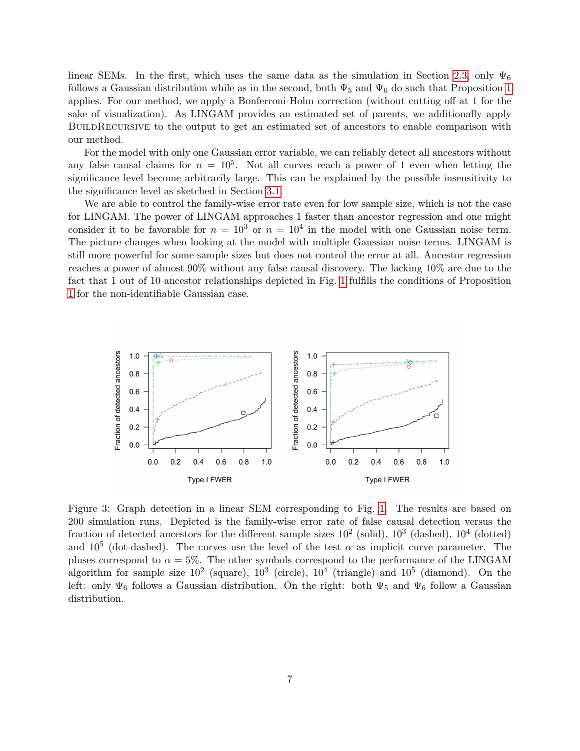linear SEMs. In the first, which uses the same data as the simulation in Section [2.3,](#page-3-1) only  $\Psi_6$ follows a Gaussian distribution while as in the second, both  $\Psi_5$  and  $\Psi_6$  do such that Proposition [1](#page-2-3) applies. For our method, we apply a Bonferroni-Holm correction (without cutting off at 1 for the sake of visualization). As LINGAM provides an estimated set of parents, we additionally apply BUILDRECURSIVE to the output to get an estimated set of ancestors to enable comparison with our method.

For the model with only one Gaussian error variable, we can reliably detect all ancestors without any false causal claims for  $n = 10^5$ . Not all curves reach a power of 1 even when letting the significance level become arbitrarily large. This can be explained by the possible insensitivity to the significance level as sketched in Section [3.1.](#page-4-0)

We are able to control the family-wise error rate even for low sample size, which is not the case for LINGAM. The power of LINGAM approaches 1 faster than ancestor regression and one might consider it to be favorable for  $n = 10^3$  or  $n = 10^4$  in the model with one Gaussian noise term. The picture changes when looking at the model with multiple Gaussian noise terms. LINGAM is still more powerful for some sample sizes but does not control the error at all. Ancestor regression reaches a power of almost 90% without any false causal discovery. The lacking 10% are due to the fact that 1 out of 10 ancestor relationships depicted in Fig. [1](#page-3-0) fulfills the conditions of Proposition [1](#page-2-3) for the non-identifiable Gaussian case.



Figure 3: Graph detection in a linear SEM corresponding to Fig. [1.](#page-3-0) The results are based on 200 simulation runs. Depicted is the family-wise error rate of false causal detection versus the fraction of detected ancestors for the different sample sizes  $10^2$  (solid),  $10^3$  (dashed),  $10^4$  (dotted) and  $10^5$  (dot-dashed). The curves use the level of the test  $\alpha$  as implicit curve parameter. The pluses correspond to  $\alpha = 5\%$ . The other symbols correspond to the performance of the LINGAM algorithm for sample size  $10^2$  (square),  $10^3$  (circle),  $10^4$  (triangle) and  $10^5$  (diamond). On the left: only  $\Psi_6$  follows a Gaussian distribution. On the right: both  $\Psi_5$  and  $\Psi_6$  follow a Gaussian distribution.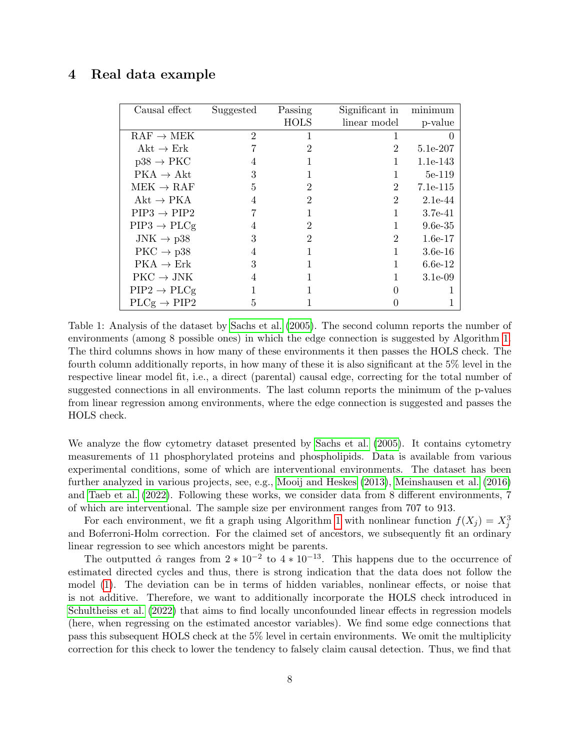## <span id="page-7-0"></span>4 Real data example

| Causal effect           | Suggested      | Passing        | Significant in | minimum    |
|-------------------------|----------------|----------------|----------------|------------|
|                         |                | <b>HOLS</b>    | linear model   | p-value    |
| $RAF \rightarrow MEK$   | $\overline{2}$ | 1              | 1              |            |
| Akt $\rightarrow$ Erk   |                | 2              | 2              | 5.1e-207   |
| $p38 \rightarrow PKC$   | 4              |                |                | 1.1e-143   |
| $PKA \rightarrow Akt$   | 3              |                |                | 5e-119     |
| $MEK \rightarrow RAF$   | 5              | 2              | 2              | 7.1e-115   |
| $Akt \rightarrow PKA$   |                | 2              | $\overline{2}$ | $2.1e-44$  |
| $PIP3 \rightarrow PIP2$ |                |                |                | 3.7e-41    |
| $PIP3 \rightarrow PLCg$ | 4              | 2              |                | $9.6e-35$  |
| $JNK \rightarrow p38$   | 3              | $\overline{2}$ | 2              | $1.6e-17$  |
| $PKC \rightarrow p38$   | 4              |                |                | $3.6e-16$  |
| $PKA \rightarrow Erk$   | 3              |                |                | $6.6e-12$  |
| $PKC \rightarrow JNK$   |                |                |                | $3.1e-0.9$ |
| $PIP2 \rightarrow PLCg$ |                |                |                |            |
| $PLCg \rightarrow PIP2$ | 5              |                |                |            |

Table 1: Analysis of the dataset by [Sachs et al.](#page-8-6) [\(2005\)](#page-8-6). The second column reports the number of environments (among 8 possible ones) in which the edge connection is suggested by Algorithm [1.](#page-5-0) The third columns shows in how many of these environments it then passes the HOLS check. The fourth column additionally reports, in how many of these it is also significant at the 5% level in the respective linear model fit, i.e., a direct (parental) causal edge, correcting for the total number of suggested connections in all environments. The last column reports the minimum of the p-values from linear regression among environments, where the edge connection is suggested and passes the HOLS check.

We analyze the flow cytometry dataset presented by [Sachs et al.](#page-8-6) [\(2005\)](#page-8-6). It contains cytometry measurements of 11 phosphorylated proteins and phospholipids. Data is available from various experimental conditions, some of which are interventional environments. The dataset has been further analyzed in various projects, see, e.g., [Mooij and Heskes](#page-8-7) [\(2013\)](#page-8-7), [Meinshausen et al.](#page-8-8) [\(2016\)](#page-8-8) and [Taeb et al.](#page-8-9) [\(2022\)](#page-8-9). Following these works, we consider data from 8 different environments, 7 of which are interventional. The sample size per environment ranges from 707 to 913.

For each environment, we fit a graph using Algorithm [1](#page-5-0) with nonlinear function  $f(X_j) = X_j^3$ and Boferroni-Holm correction. For the claimed set of ancestors, we subsequently fit an ordinary linear regression to see which ancestors might be parents.

The outputted  $\hat{\alpha}$  ranges from  $2 \times 10^{-2}$  to  $4 \times 10^{-13}$ . This happens due to the occurrence of estimated directed cycles and thus, there is strong indication that the data does not follow the model [\(1\)](#page-1-0). The deviation can be in terms of hidden variables, nonlinear effects, or noise that is not additive. Therefore, we want to additionally incorporate the HOLS check introduced in [Schultheiss et al.](#page-8-10) [\(2022\)](#page-8-10) that aims to find locally unconfounded linear effects in regression models (here, when regressing on the estimated ancestor variables). We find some edge connections that pass this subsequent HOLS check at the 5% level in certain environments. We omit the multiplicity correction for this check to lower the tendency to falsely claim causal detection. Thus, we find that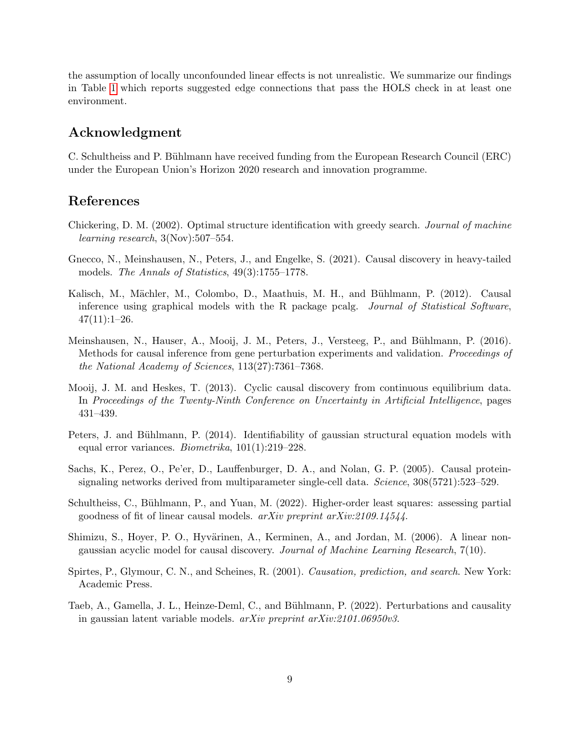the assumption of locally unconfounded linear effects is not unrealistic. We summarize our findings in Table [1](#page-7-0) which reports suggested edge connections that pass the HOLS check in at least one environment.

## Acknowledgment

C. Schultheiss and P. Bühlmann have received funding from the European Research Council (ERC) under the European Union's Horizon 2020 research and innovation programme.

## References

- <span id="page-8-1"></span>Chickering, D. M. (2002). Optimal structure identification with greedy search. Journal of machine learning research, 3(Nov):507–554.
- <span id="page-8-3"></span>Gnecco, N., Meinshausen, N., Peters, J., and Engelke, S. (2021). Causal discovery in heavy-tailed models. The Annals of Statistics, 49(3):1755–1778.
- <span id="page-8-5"></span>Kalisch, M., Mächler, M., Colombo, D., Maathuis, M. H., and Bühlmann, P. (2012). Causal inference using graphical models with the R package pcalg. Journal of Statistical Software,  $47(11):1-26.$
- <span id="page-8-8"></span>Meinshausen, N., Hauser, A., Mooij, J. M., Peters, J., Versteeg, P., and Bühlmann, P. (2016). Methods for causal inference from gene perturbation experiments and validation. Proceedings of the National Academy of Sciences, 113(27):7361–7368.
- <span id="page-8-7"></span>Mooij, J. M. and Heskes, T. (2013). Cyclic causal discovery from continuous equilibrium data. In Proceedings of the Twenty-Ninth Conference on Uncertainty in Artificial Intelligence, pages 431–439.
- <span id="page-8-4"></span>Peters, J. and Bühlmann, P. (2014). Identifiability of gaussian structural equation models with equal error variances. Biometrika, 101(1):219–228.
- <span id="page-8-6"></span>Sachs, K., Perez, O., Pe'er, D., Lauffenburger, D. A., and Nolan, G. P. (2005). Causal proteinsignaling networks derived from multiparameter single-cell data. Science, 308(5721):523–529.
- <span id="page-8-10"></span>Schultheiss, C., Bühlmann, P., and Yuan, M. (2022). Higher-order least squares: assessing partial goodness of fit of linear causal models. arXiv preprint arXiv:2109.14544.
- <span id="page-8-2"></span>Shimizu, S., Hoyer, P. O., Hyvärinen, A., Kerminen, A., and Jordan, M. (2006). A linear nongaussian acyclic model for causal discovery. Journal of Machine Learning Research, 7(10).
- <span id="page-8-0"></span>Spirtes, P., Glymour, C. N., and Scheines, R. (2001). Causation, prediction, and search. New York: Academic Press.
- <span id="page-8-9"></span>Taeb, A., Gamella, J. L., Heinze-Deml, C., and Bühlmann, P. (2022). Perturbations and causality in gaussian latent variable models. arXiv preprint arXiv:2101.06950v3.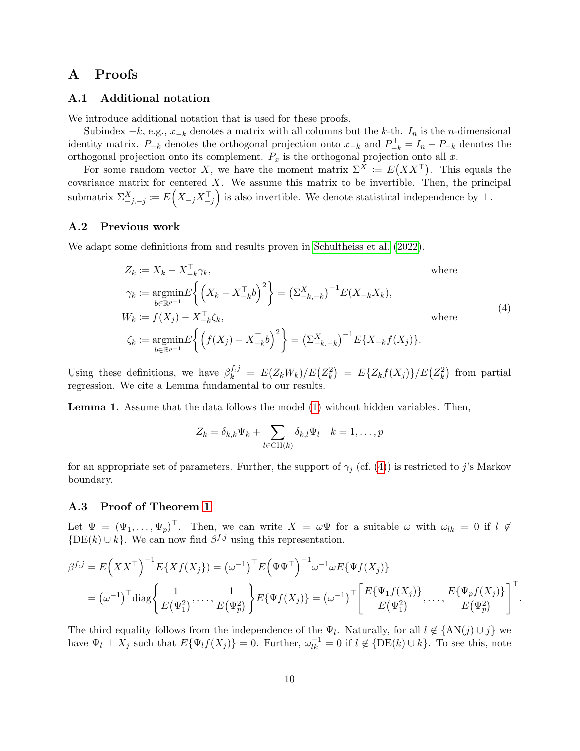# A Proofs

### A.1 Additional notation

We introduce additional notation that is used for these proofs.

Subindex  $-k$ , e.g.,  $x_{-k}$  denotes a matrix with all columns but the k-th.  $I_n$  is the n-dimensional identity matrix.  $P_{-k}$  denotes the orthogonal projection onto  $x_{-k}$  and  $P_{-k}^{\perp} = I_n - P_{-k}$  denotes the orthogonal projection onto its complement.  $P_x$  is the orthogonal projection onto all x.

For some random vector X, we have the moment matrix  $\Sigma^X := E(X X^T)$ . This equals the covariance matrix for centered  $X$ . We assume this matrix to be invertible. Then, the principal submatrix  $\Sigma_{-j,-j}^X := E(X_{-j}X_{-j}^\top)$  is also invertible. We denote statistical independence by  $\bot$ .

### A.2 Previous work

We adapt some definitions from and results proven in [Schultheiss et al.](#page-8-10) [\(2022\)](#page-8-10).

<span id="page-9-0"></span>
$$
Z_k := X_k - X_{-k}^{\top} \gamma_k, \qquad \text{where}
$$
  
\n
$$
\gamma_k := \underset{b \in \mathbb{R}^{p-1}}{\operatorname{argmin}} E \left\{ \left( X_k - X_{-k}^{\top} b \right)^2 \right\} = \left( \Sigma_{-k,-k}^X \right)^{-1} E(X_{-k} X_k),
$$
  
\n
$$
W_k := f(X_j) - X_{-k}^{\top} \zeta_k, \qquad \text{where}
$$
  
\n
$$
\zeta_k := \underset{b \in \mathbb{R}^{p-1}}{\operatorname{argmin}} E \left\{ \left( f(X_j) - X_{-k}^{\top} b \right)^2 \right\} = \left( \Sigma_{-k,-k}^X \right)^{-1} E \{ X_{-k} f(X_j) \}.
$$
  
\n(4)

Using these definitions, we have  $\beta_k^{f,j} = E(Z_k W_k)/E(Z_k^2) = E\{Z_k f(X_j)\}/E(Z_k^2)$  from partial regression. We cite a Lemma fundamental to our results.

<span id="page-9-1"></span>Lemma 1. Assume that the data follows the model [\(1\)](#page-1-0) without hidden variables. Then,

$$
Z_k = \delta_{k,k} \Psi_k + \sum_{l \in \text{CH}(k)} \delta_{k,l} \Psi_l \quad k = 1, \dots, p
$$

for an appropriate set of parameters. Further, the support of  $\gamma_j$  (cf. [\(4\)](#page-9-0)) is restricted to j's Markov boundary.

### A.3 Proof of Theorem [1](#page-1-1)

Let  $\Psi = (\Psi_1, \ldots, \Psi_p)^\top$ . Then, we can write  $X = \omega \Psi$  for a suitable  $\omega$  with  $\omega_{lk} = 0$  if  $l \notin$  ${DE(k) \cup k}$ . We can now find  $\beta^{f,j}$  using this representation.

$$
\beta^{f,j} = E(XX^{\top})^{-1} E\{Xf(X_j)\} = (\omega^{-1})^{\top} E(\Psi\Psi^{\top})^{-1} \omega^{-1} \omega E\{\Psi f(X_j)\}
$$
  
=  $(\omega^{-1})^{\top}$ diag $\left\{\frac{1}{E(\Psi_1^2)}, \dots, \frac{1}{E(\Psi_p^2)}\right\} E\{\Psi f(X_j)\} = (\omega^{-1})^{\top} \left[\frac{E\{\Psi_1 f(X_j)\}}{E(\Psi_1^2)}, \dots, \frac{E\{\Psi_p f(X_j)\}}{E(\Psi_p^2)}\right]^{\top}$ 

.

The third equality follows from the independence of the  $\Psi_l$ . Naturally, for all  $l \notin \{AN(j) \cup j\}$  we have  $\Psi_l \perp X_j$  such that  $E{\Psi_l f(X_j)} = 0$ . Further,  $\omega_{lk}^{-1} = 0$  if  $l \notin {\{DE(k) \cup k\}}$ . To see this, note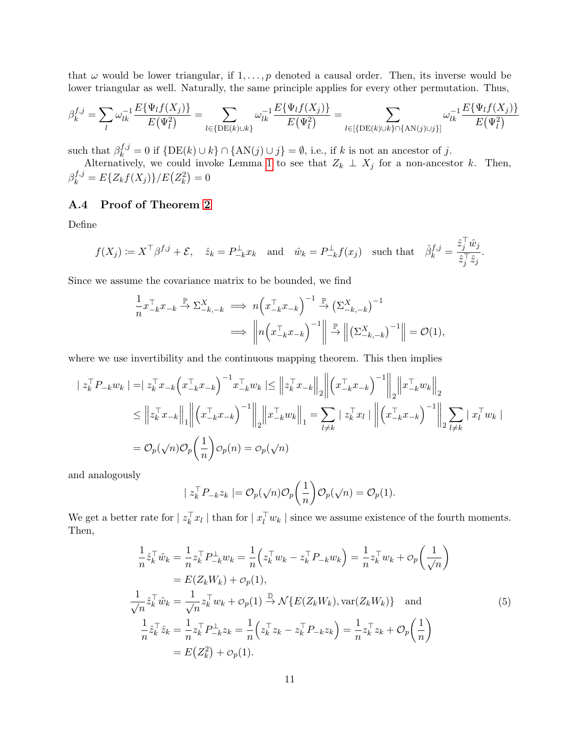that  $\omega$  would be lower triangular, if  $1, \ldots, p$  denoted a causal order. Then, its inverse would be lower triangular as well. Naturally, the same principle applies for every other permutation. Thus,

$$
\beta_k^{f,j} = \sum_l \omega_{lk}^{-1} \frac{E\{\Psi_l f(X_j)\}}{E(\Psi_l^2)} = \sum_{l \in \{\text{DE}(k)\cup k\}} \omega_{lk}^{-1} \frac{E\{\Psi_l f(X_j)\}}{E(\Psi_l^2)} = \sum_{l \in \{\text{DE}(k)\cup k\} \cap \{\text{AN}(j) \cup j\}} \omega_{lk}^{-1} \frac{E\{\Psi_l f(X_j)\}}{E(\Psi_l^2)}
$$

such that  $\beta_k^{f,j} = 0$  if  $\{ \text{DE}(k) \cup k \} \cap \{ \text{AN}(j) \cup j \} = \emptyset$ , i.e., if k is not an ancestor of j.

Alternatively, we could invoke Lemma [1](#page-9-1) to see that  $Z_k \perp X_j$  for a non-ancestor k. Then,  $\beta_k^{f,j} = E\{Z_k f(X_j)\}/E\big(Z_k^2\big) = 0$ 

## A.4 Proof of Theorem [2](#page-2-1)

Define

$$
f(X_j) := X^\top \beta^{f,j} + \mathcal{E}, \quad \hat{z}_k = P_{-k}^\perp x_k \quad \text{and} \quad \hat{w}_k = P_{-k}^\perp f(x_j) \quad \text{such that} \quad \hat{\beta}_k^{f,j} = \frac{\hat{z}_j^\top \hat{w}_j}{\hat{z}_j^\top \hat{z}_j}.
$$

Since we assume the covariance matrix to be bounded, we find

$$
\frac{1}{n} x_{-k}^{\top} x_{-k} \xrightarrow{\mathbb{P}} \Sigma_{-k,-k}^{X} \implies n \left( x_{-k}^{\top} x_{-k} \right)^{-1} \xrightarrow{\mathbb{P}} \left( \Sigma_{-k,-k}^{X} \right)^{-1}
$$
\n
$$
\implies \left\| n \left( x_{-k}^{\top} x_{-k} \right)^{-1} \right\| \xrightarrow{\mathbb{P}} \left\| \left( \Sigma_{-k,-k}^{X} \right)^{-1} \right\| = \mathcal{O}(1),
$$

where we use invertibility and the continuous mapping theorem. This then implies

$$
\begin{split} | z_k^{\top} P_{-k} w_k | = & | z_k^{\top} x_{-k} \left( x_{-k}^{\top} x_{-k} \right)^{-1} x_{-k}^{\top} w_k | \leq \left\| z_k^{\top} x_{-k} \right\|_2 \left\| \left( x_{-k}^{\top} x_{-k} \right)^{-1} \right\|_2 \left\| x_{-k}^{\top} w_k \right\|_2 \\ & \leq \left\| z_k^{\top} x_{-k} \right\|_1 \left\| \left( x_{-k}^{\top} x_{-k} \right)^{-1} \right\|_2 \left\| x_{-k}^{\top} w_k \right\|_1 = \sum_{l \neq k} | z_k^{\top} x_l | \left\| \left( x_{-k}^{\top} x_{-k} \right)^{-1} \right\|_2 \sum_{l \neq k} | x_l^{\top} w_k | \\ & = \mathcal{O}_p(\sqrt{n}) \mathcal{O}_p\left( \frac{1}{n} \right) \mathcal{O}_p(n) = \mathcal{O}_p(\sqrt{n}) \end{split}
$$

and analogously

<span id="page-10-0"></span>
$$
| z_k^{\top} P_{-k} z_k | = \mathcal{O}_p(\sqrt{n}) \mathcal{O}_p\left(\frac{1}{n}\right) \mathcal{O}_p(\sqrt{n}) = \mathcal{O}_p(1).
$$

We get a better rate for  $|z_k^{\top} x_l|$  than for  $|x_l^{\top} w_k|$  since we assume existence of the fourth moments. Then,

$$
\frac{1}{n}\hat{z}_{k}^{\top}\hat{w}_{k} = \frac{1}{n}z_{k}^{\top}P_{-k}^{\perp}w_{k} = \frac{1}{n}\left(z_{k}^{\top}w_{k} - z_{k}^{\top}P_{-k}w_{k}\right) = \frac{1}{n}z_{k}^{\top}w_{k} + \mathcal{O}_{p}\left(\frac{1}{\sqrt{n}}\right)
$$
\n
$$
= E(Z_{k}W_{k}) + \mathcal{O}_{p}(1),
$$
\n
$$
\frac{1}{\sqrt{n}}\hat{z}_{k}^{\top}\hat{w}_{k} = \frac{1}{\sqrt{n}}z_{k}^{\top}w_{k} + \mathcal{O}_{p}(1) \stackrel{\mathbb{D}}{\rightarrow} \mathcal{N}\{E(Z_{k}W_{k}), \text{var}(Z_{k}W_{k})\} \text{ and }
$$
\n
$$
\frac{1}{n}\hat{z}_{k}^{\top}\hat{z}_{k} = \frac{1}{n}z_{k}^{\top}P_{-k}^{\perp}z_{k} = \frac{1}{n}\left(z_{k}^{\top}z_{k} - z_{k}^{\top}P_{-k}z_{k}\right) = \frac{1}{n}z_{k}^{\top}z_{k} + \mathcal{O}_{p}\left(\frac{1}{n}\right)
$$
\n
$$
= E(Z_{k}^{2}) + \mathcal{O}_{p}(1).
$$
\n(5)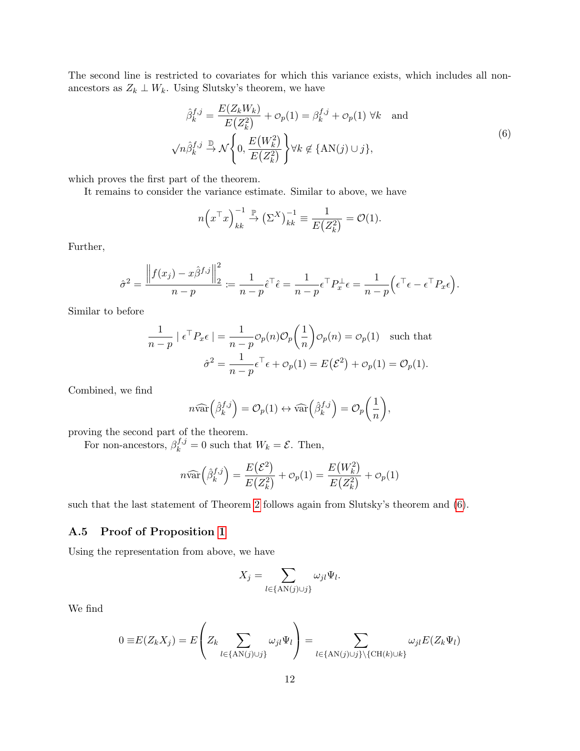The second line is restricted to covariates for which this variance exists, which includes all nonancestors as  $Z_k \perp W_k$ . Using Slutsky's theorem, we have

$$
\hat{\beta}_k^{f,j} = \frac{E(Z_k W_k)}{E(Z_k^2)} + \mathcal{O}_p(1) = \beta_k^{f,j} + \mathcal{O}_p(1) \,\forall k \text{ and}
$$
\n
$$
\sqrt{n} \hat{\beta}_k^{f,j} \xrightarrow{\mathbb{D}} \mathcal{N} \left\{ 0, \frac{E(W_k^2)}{E(Z_k^2)} \right\} \forall k \notin \{ \text{AN}(j) \cup j \},
$$
\n(6)

which proves the first part of the theorem.

It remains to consider the variance estimate. Similar to above, we have

<span id="page-11-0"></span>
$$
n\left(x^{\top}x\right)_{kk}^{-1} \stackrel{\mathbb{P}}{\to} \left(\Sigma^{X}\right)_{kk}^{-1} \equiv \frac{1}{E\left(Z_{k}^{2}\right)} = \mathcal{O}(1).
$$

Further,

$$
\hat{\sigma}^2 = \frac{\left\|f(x_j) - x\hat{\beta}^{f,j}\right\|_2^2}{n-p} := \frac{1}{n-p}\hat{\epsilon}^\top \hat{\epsilon} = \frac{1}{n-p}\epsilon^\top P_x^\perp \epsilon = \frac{1}{n-p}\Big(\epsilon^\top \epsilon - \epsilon^\top P_x \epsilon\Big).
$$

Similar to before

$$
\frac{1}{n-p} \mid \epsilon^{\top} P_{x} \epsilon \mid = \frac{1}{n-p} \mathcal{O}_p(n) \mathcal{O}_p\left(\frac{1}{n}\right) \mathcal{O}_p(n) = \mathcal{O}_p(1) \quad \text{such that}
$$

$$
\hat{\sigma}^2 = \frac{1}{n-p} \epsilon^{\top} \epsilon + \mathcal{O}_p(1) = E(\mathcal{E}^2) + \mathcal{O}_p(1) = \mathcal{O}_p(1).
$$

Combined, we find

$$
n\widehat{\text{var}}\left(\widehat{\beta}_{k}^{f,j}\right) = \mathcal{O}_p(1) \leftrightarrow \widehat{\text{var}}\left(\widehat{\beta}_{k}^{f,j}\right) = \mathcal{O}_p\left(\frac{1}{n}\right),
$$

proving the second part of the theorem.

For non-ancestors,  $\beta_k^{f,j} = 0$  such that  $W_k = \mathcal{E}$ . Then,

$$
n\widehat{\text{var}}\left(\widehat{\beta}_k^{f,j}\right) = \frac{E(\mathcal{E}^2)}{E(Z_k^2)} + o_p(1) = \frac{E(W_k^2)}{E(Z_k^2)} + o_p(1)
$$

such that the last statement of Theorem [2](#page-2-1) follows again from Slutsky's theorem and [\(6\)](#page-11-0).

## A.5 Proof of Proposition [1](#page-2-3)

Using the representation from above, we have

$$
X_j = \sum_{l \in \{\text{AN}(j) \cup j\}} \omega_{jl} \Psi_l.
$$

We find

$$
0 \equiv E(Z_k X_j) = E\left(Z_k \sum_{l \in \{\text{AN}(j) \cup j\}} \omega_{jl} \Psi_l\right) = \sum_{l \in \{\text{AN}(j) \cup j\} \setminus \{\text{CH}(k) \cup k\}} \omega_{jl} E(Z_k \Psi_l)
$$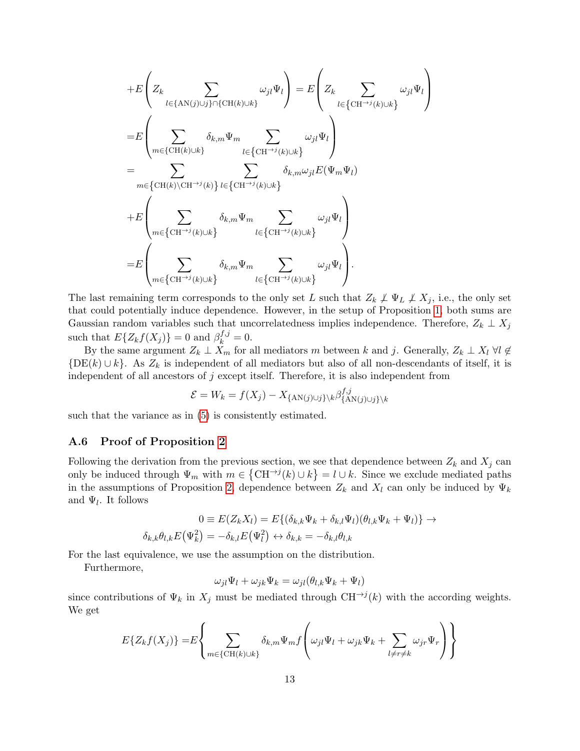$$
\begin{split} & +E\left(Z_k\sum_{l\in\{\text{AN}(j)\cup j\}\cap\{\text{CH}(k)\cup k\}}\omega_{jl}\Psi_l\right)=E\left(Z_k\sum_{l\in\{\text{CH}^{\rightarrow j}(k)\cup k\}}\omega_{jl}\Psi_l\right)\\ =&E\left(\sum_{m\in\{\text{CH}(k)\cup k\}}\delta_{k,m}\Psi_m\sum_{l\in\{\text{CH}^{\rightarrow j}(k)\cup k\}}\omega_{jl}\Psi_l\right)\\ =&\sum_{m\in\{\text{CH}(k)\backslash \text{CH}^{\rightarrow j}(k)\}}\sum_{l\in\{\text{CH}^{\rightarrow j}(k)\cup k\}}\delta_{k,m}\omega_{jl}E(\Psi_m\Psi_l)\\ & +E\left(\sum_{m\in\{\text{CH}^{\rightarrow j}(k)\cup k\}}\delta_{k,m}\Psi_m\sum_{l\in\{\text{CH}^{\rightarrow j}(k)\cup k\}}\omega_{jl}\Psi_l\right)\\ =&E\left(\sum_{m\in\{\text{CH}^{\rightarrow j}(k)\cup k\}}\delta_{k,m}\Psi_m\sum_{l\in\{\text{CH}^{\rightarrow j}(k)\cup k\}}\omega_{jl}\Psi_l\right). \end{split}
$$

The last remaining term corresponds to the only set L such that  $Z_k \not\perp \Psi_L \not\perp X_j$ , i.e., the only set that could potentially induce dependence. However, in the setup of Proposition [1,](#page-2-3) both sums are Gaussian random variables such that uncorrelatedness implies independence. Therefore,  $Z_k \perp X_j$ such that  $E\{Z_k f(X_j)\}=0$  and  $\beta_k^{f,j}=0$ .

By the same argument  $Z_k \perp X_m$  for all mediators m between k and j. Generally,  $Z_k \perp X_l$   $\forall l \notin$  ${DE(k) \cup k}$ . As  $Z_k$  is independent of all mediators but also of all non-descendants of itself, it is independent of all ancestors of j except itself. Therefore, it is also independent from

$$
\mathcal{E} = W_k = f(X_j) - X_{\{\text{AN}(j) \cup j\} \setminus k} \beta_{\{\text{AN}(j) \cup j\} \setminus k}^{f,j}
$$

such that the variance as in [\(5\)](#page-10-0) is consistently estimated.

### A.6 Proof of Proposition [2](#page-3-2)

Following the derivation from the previous section, we see that dependence between  $Z_k$  and  $X_j$  can only be induced through  $\Psi_m$  with  $m \in \{ \text{CH}^{\rightarrow j}(k) \cup k \} = l \cup k$ . Since we exclude mediated paths in the assumptions of Proposition [2,](#page-3-2) dependence between  $Z_k$  and  $X_l$  can only be induced by  $\Psi_k$ and  $\Psi_l$ . It follows

$$
0 \equiv E(Z_k X_l) = E\{(\delta_{k,k} \Psi_k + \delta_{k,l} \Psi_l)(\theta_{l,k} \Psi_k + \Psi_l)\} \rightarrow \delta_{k,k} \theta_{l,k} E(\Psi_k^2) = -\delta_{k,l} E(\Psi_l^2) \leftrightarrow \delta_{k,k} = -\delta_{k,l} \theta_{l,k}
$$

For the last equivalence, we use the assumption on the distribution.

Furthermore,

$$
\omega_{jl}\Psi_l + \omega_{jk}\Psi_k = \omega_{jl}(\theta_{l,k}\Psi_k + \Psi_l)
$$

since contributions of  $\Psi_k$  in  $X_j$  must be mediated through CH<sup> $\rightarrow$ j</sup>(k) with the according weights. We get

$$
E\{Z_k f(X_j)\} = E\left\{\sum_{m \in \{\text{CH}(k)\cup k\}} \delta_{k,m} \Psi_m f\left(\omega_{jl} \Psi_l + \omega_{jk} \Psi_k + \sum_{l \neq r \neq k} \omega_{jr} \Psi_r\right)\right\}
$$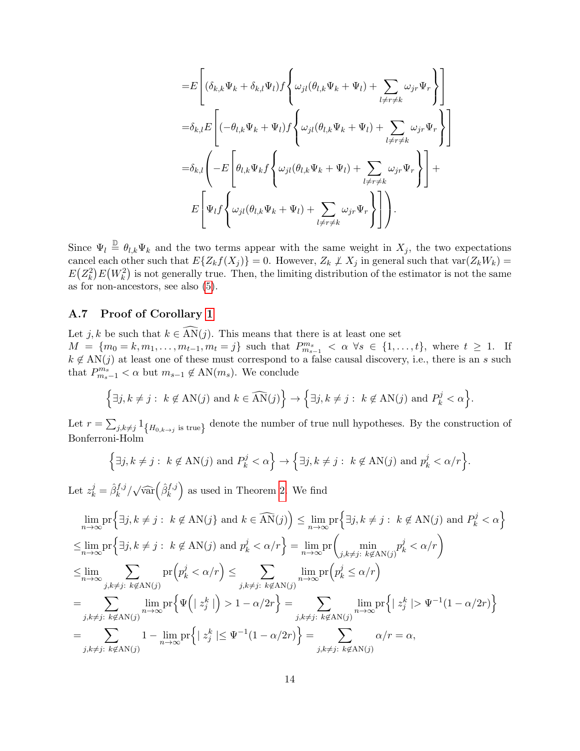$$
=E\left[ (\delta_{k,k}\Psi_k + \delta_{k,l}\Psi_l) f \left\{ \omega_{jl}(\theta_{l,k}\Psi_k + \Psi_l) + \sum_{l \neq r \neq k} \omega_{jr} \Psi_r \right\} \right]
$$
  

$$
= \delta_{k,l} E\left[ (-\theta_{l,k}\Psi_k + \Psi_l) f \left\{ \omega_{jl}(\theta_{l,k}\Psi_k + \Psi_l) + \sum_{l \neq r \neq k} \omega_{jr} \Psi_r \right\} \right]
$$
  

$$
= \delta_{k,l} \left( -E\left[ \theta_{l,k}\Psi_k f \left\{ \omega_{jl}(\theta_{l,k}\Psi_k + \Psi_l) + \sum_{l \neq r \neq k} \omega_{jr} \Psi_r \right\} \right] +
$$
  

$$
E\left[ \Psi_l f \left\{ \omega_{jl}(\theta_{l,k}\Psi_k + \Psi_l) + \sum_{l \neq r \neq k} \omega_{jr} \Psi_r \right\} \right].
$$

Since  $\Psi_l \triangleq \theta_{l,k} \Psi_k$  and the two terms appear with the same weight in  $X_j$ , the two expectations cancel each other such that  $E\{Z_kf(X_j)\}=0$ . However,  $Z_k \not\perp X_j$  in general such that  $\text{var}(Z_kW_k)=0$  $E(Z_k^2)E(W_k^2)$  is not generally true. Then, the limiting distribution of the estimator is not the same as for non-ancestors, see also [\(5\)](#page-10-0).

### A.7 Proof of Corollary [1](#page-5-1)

Let j, k be such that  $k \in \widehat{AN}(j)$ . This means that there is at least one set  $M = \{m_0 = k, m_1, \ldots, m_{t-1}, m_t = j\}$  such that  $P_{m_{s-1}}^{m_s} < \alpha \ \forall s \in \{1, \ldots, t\}$ , where  $t \geq 1$ . If  $k \notin AN(j)$  at least one of these must correspond to a false causal discovery, i.e., there is an s such that  $P_{m_s-1}^{m_s} < \alpha$  but  $m_{s-1} \notin \text{AN}(m_s)$ . We conclude

$$
\left\{\exists j, k\neq j:\ k\not\in \text{AN}(j) \text{ and } k\in \widehat{\text{AN}}(j)\right\}\rightarrow \left\{\exists j, k\neq j:\ k\not\in \text{AN}(j) \text{ and } P_k^j<\alpha\right\}.
$$

Let  $r = \sum_{j,k\neq j} 1_{\{H_{0,k\to j} \text{ is true}\}}$  denote the number of true null hypotheses. By the construction of Bonferroni-Holm

$$
\left\{\exists j, k \neq j : k \notin \text{AN}(j) \text{ and } P_k^j < \alpha\right\} \to \left\{\exists j, k \neq j : k \notin \text{AN}(j) \text{ and } p_k^j < \alpha/r\right\}.
$$

Let  $z_k^j = \hat{\beta}_k^{f,j}/\sqrt{\widehat{\text{var}}}(\hat{\beta}_k^{f,j})$  as used in Theorem [2.](#page-2-1) We find

$$
\lim_{n \to \infty} \text{pr}\Big\{\exists j, k \neq j : k \notin \mathcal{AN}(j) \text{ and } k \in \widehat{\mathcal{AN}}(j)\Big\} \le \lim_{n \to \infty} \text{pr}\Big\{\exists j, k \neq j : k \notin \mathcal{AN}(j) \text{ and } P_k^j < \alpha\Big\}
$$
\n
$$
\le \lim_{n \to \infty} \text{pr}\Big\{\exists j, k \neq j : k \notin \mathcal{AN}(j) \text{ and } p_k^j < \alpha/r\Big\} = \lim_{n \to \infty} \text{pr}\Big(\min_{j,k \neq j : k \notin \mathcal{AN}(j)} p_k^j < \alpha/r\Big)
$$
\n
$$
\le \lim_{n \to \infty} \sum_{j,k \neq j : k \notin \mathcal{AN}(j)} \text{pr}\Big(p_k^j < \alpha/r\Big) \le \sum_{j,k \neq j : k \notin \mathcal{AN}(j)} \lim_{n \to \infty} \text{pr}\Big(p_k^j \le \alpha/r\Big)
$$
\n
$$
= \sum_{j,k \neq j : k \notin \mathcal{AN}(j)} \lim_{n \to \infty} \text{pr}\Big\{\Psi\Big(|z_j^k|\Big) > 1 - \alpha/2r\Big\} = \sum_{j,k \neq j : k \notin \mathcal{AN}(j)} \lim_{n \to \infty} \text{pr}\Big\{|z_j^k| > \Psi^{-1}(1 - \alpha/2r)\Big\}
$$
\n
$$
= \sum_{j,k \neq j : k \notin \mathcal{AN}(j)} 1 - \lim_{n \to \infty} \text{pr}\Big\{|z_j^k| \le \Psi^{-1}(1 - \alpha/2r)\Big\} = \sum_{j,k \neq j : k \notin \mathcal{AN}(j)} \alpha/r = \alpha,
$$